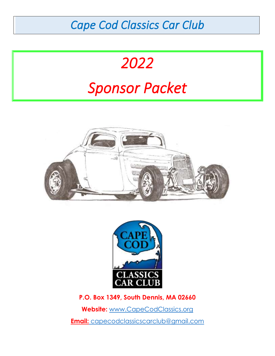## *Cape Cod Classics Car Club*

# *2022 Sponsor Packet*





**P.O. Box 1349, South Dennis, MA 02660**

**Website:** [www.CapeCodClassics.org](http://www.capecodclassics.org/)

**Email:** capecodclassicscarclub@gmail.com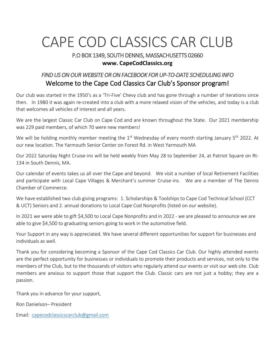## CAPE COD CLASSICS CAR CLUB

#### P.O BOX 1349, SOUTH DENNIS, MASSACHUSETTS 02660 **www. CapeCodClassics.org**

#### *FIND US ON OUR WEBSITE OR ON FACEBOOK FOR UP-TO-DATE SCHEDULING INFO*  Welcome to the Cape Cod Classics Car Club's Sponsor program!

Our club was started in the 1950's as a 'Tri-Five' Chevy club and has gone through a number of iterations since then. In 1980 it was again re-created into a club with a more relaxed vision of the vehicles, and today is a club that welcomes all vehicles of interest and all years.

We are the largest Classic Car Club on Cape Cod and are known throughout the State. Our 2021 membership was 229 paid members, of which 70 were new members!

We will be holding monthly member meeting the  $1<sup>st</sup>$  Wednesday of every month starting January  $5<sup>th</sup>$  2022. At our new location. The Yarmouth Senior Center on Forest Rd. in West Yarmouth MA

Our 2022 Saturday Night Cruise-ins will be held weekly from May 28 to September 24, at Patriot Square on Rt-134 in South Dennis, MA.

Our calendar of events takes us all over the Cape and beyond. We visit a number of local Retirement Facilities and participate with Local Cape Villages & Merchant's summer Cruise-ins. We are a member of The Dennis Chamber of Commerce.

We have established two club giving programs: 1. Scholarships & Toolships to Cape Cod Technical School (CCT & UCT) Seniors and 2. annual donations to Local Cape Cod Nonprofits (listed on our website).

In 2021 we were able to gift \$4,500 to Local Cape Nonprofits and in 2022 - we are pleased to announce we are able to give \$4,500 to graduating seniors going to work in the automotive field.

Your Support in any way is appreciated. We have several different opportunities for support for businesses and individuals as well.

Thank you for considering becoming a Sponsor of the Cape Cod Classics Car Club. Our highly attended events are the perfect opportunity for businesses or individuals to promote their products and services, not only to the members of the Club, but to the thousands of visitors who regularly attend our events or visit our web site. Club members are anxious to support those that support the Club. Classic cars are not just a hobby; they are a passion.

Thank you in advance for your support,

Ron Danielson– President

Email: [capecodclassicscarclub@gmail.com](mailto:capecodclassicscarclub@gmail.com)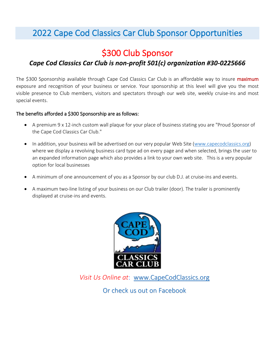### 2022 Cape Cod Classics Car Club Sponsor Opportunities

### \$300 Club Sponsor

#### *Cape Cod Classics Car Club is non-profit 501(c) organization #30-0225666*

The \$300 Sponsorship available through Cape Cod Classics Car Club is an affordable way to insure *maximum* exposure and recognition of your business or service. Your sponsorship at this level will give you the most visible presence to Club members, visitors and spectators through our web site, weekly cruise-ins and most special events.

#### The benefits afforded a \$300 Sponsorship are as follows:

- A premium 9 x 12-inch custom wall plaque for your place of business stating you are "Proud Sponsor of the Cape Cod Classics Car Club."
- In addition, your business will be advertised on our very popular Web Site [\(www.capecodclassics.org\)](http://www.capecodclassics.org/) where we display a revolving business card type ad on every page and when selected, brings the user to an expanded information page which also provides a link to your own web site. This is a very popular option for local businesses
- A minimum of one announcement of you as a Sponsor by our club D.J. at cruise-ins and events.
- A maximum two-line listing of your business on our Club trailer (door). The trailer is prominently displayed at cruise-ins and events.



*Visit Us Online at*: [www.CapeCodClassics.org](http://www.capecodclassics.org/)

Or check us out on Facebook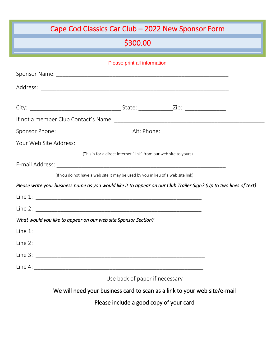## Cape Cod Classics Car Club – 2022 New Sponsor Form

## \$300.00

l

| Please print all information                                                                                       |  |
|--------------------------------------------------------------------------------------------------------------------|--|
|                                                                                                                    |  |
|                                                                                                                    |  |
|                                                                                                                    |  |
|                                                                                                                    |  |
|                                                                                                                    |  |
|                                                                                                                    |  |
|                                                                                                                    |  |
| (This is for a direct Internet "link" from our web site to yours)                                                  |  |
| E-mail Address: 2008. 2009. 2010. 2010. 2010. 2010. 2010. 2010. 2010. 2010. 2010. 2010. 2010. 2010. 2010. 2010     |  |
| (If you do not have a web site it may be used by you in lieu of a web site link)                                   |  |
| Please write your business name as you would like it to appear on our Club Trailer Sign? (Up to two lines of text) |  |
|                                                                                                                    |  |
|                                                                                                                    |  |
| What would you like to appear on our web site Sponsor Section?                                                     |  |
|                                                                                                                    |  |
|                                                                                                                    |  |
|                                                                                                                    |  |
|                                                                                                                    |  |
| Use back of paper if necessary                                                                                     |  |

We will need your business card to scan as a link to your web site/e-mail

Please include a good copy of your card